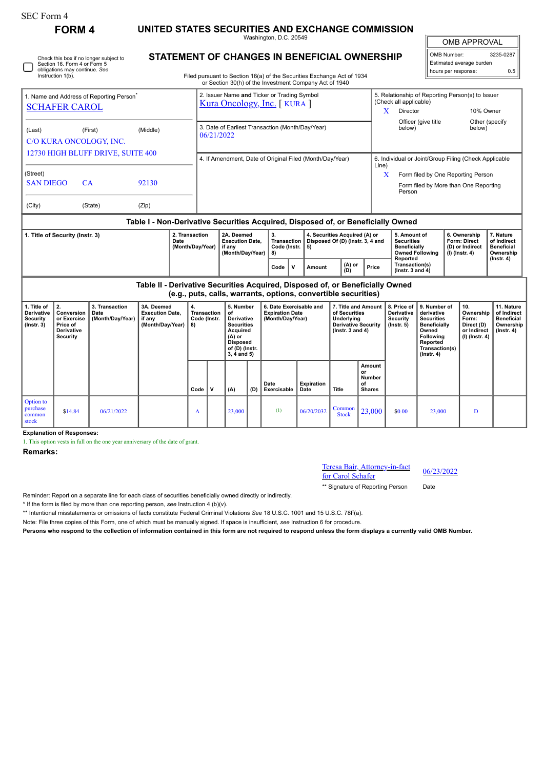| SEC Form 4                                                |                                                                                                                              |                                                                            |                                                                    |          |                                                                                                                                                                                         |                                                                    |                                                                                                                                           |                                                                            |                                                                                                                                                 |                                                                   |                                                                                   |                                                                                    |                                                               |                                                                                                                                         |                                                                            |                                                                            |                                                                                 |  |
|-----------------------------------------------------------|------------------------------------------------------------------------------------------------------------------------------|----------------------------------------------------------------------------|--------------------------------------------------------------------|----------|-----------------------------------------------------------------------------------------------------------------------------------------------------------------------------------------|--------------------------------------------------------------------|-------------------------------------------------------------------------------------------------------------------------------------------|----------------------------------------------------------------------------|-------------------------------------------------------------------------------------------------------------------------------------------------|-------------------------------------------------------------------|-----------------------------------------------------------------------------------|------------------------------------------------------------------------------------|---------------------------------------------------------------|-----------------------------------------------------------------------------------------------------------------------------------------|----------------------------------------------------------------------------|----------------------------------------------------------------------------|---------------------------------------------------------------------------------|--|
|                                                           | <b>FORM4</b>                                                                                                                 | UNITED STATES SECURITIES AND EXCHANGE COMMISSION<br>Washington, D.C. 20549 |                                                                    |          |                                                                                                                                                                                         |                                                                    |                                                                                                                                           |                                                                            |                                                                                                                                                 |                                                                   |                                                                                   |                                                                                    |                                                               |                                                                                                                                         | <b>OMB APPROVAL</b>                                                        |                                                                            |                                                                                 |  |
|                                                           | Check this box if no longer subject to<br>Section 16. Form 4 or Form 5<br>obligations may continue. See<br>Instruction 1(b). |                                                                            |                                                                    |          | <b>STATEMENT OF CHANGES IN BENEFICIAL OWNERSHIP</b><br>Filed pursuant to Section 16(a) of the Securities Exchange Act of 1934<br>or Section 30(h) of the Investment Company Act of 1940 |                                                                    |                                                                                                                                           |                                                                            |                                                                                                                                                 |                                                                   |                                                                                   |                                                                                    |                                                               | 3235-0287<br>OMB Number:<br>Estimated average burden<br>hours per response:<br>0.5                                                      |                                                                            |                                                                            |                                                                                 |  |
|                                                           | 1. Name and Address of Reporting Person <sup>®</sup><br><b>SCHAFER CAROL</b>                                                 |                                                                            |                                                                    |          |                                                                                                                                                                                         |                                                                    |                                                                                                                                           | 2. Issuer Name and Ticker or Trading Symbol<br>Kura Oncology, Inc. [KURA ] |                                                                                                                                                 |                                                                   | (Check all applicable)<br>X<br>Director                                           |                                                                                    | 5. Relationship of Reporting Person(s) to Issuer<br>10% Owner |                                                                                                                                         |                                                                            |                                                                            |                                                                                 |  |
| (Middle)<br>(Last)<br>(First)<br>C/O KURA ONCOLOGY, INC.  |                                                                                                                              |                                                                            |                                                                    |          |                                                                                                                                                                                         | 3. Date of Earliest Transaction (Month/Day/Year)<br>06/21/2022     |                                                                                                                                           |                                                                            |                                                                                                                                                 |                                                                   |                                                                                   |                                                                                    | Officer (give title<br>Other (specify<br>below)<br>below)     |                                                                                                                                         |                                                                            |                                                                            |                                                                                 |  |
| 12730 HIGH BLUFF DRIVE, SUITE 400                         |                                                                                                                              |                                                                            |                                                                    |          |                                                                                                                                                                                         | 4. If Amendment, Date of Original Filed (Month/Day/Year)<br>Line)  |                                                                                                                                           |                                                                            |                                                                                                                                                 |                                                                   |                                                                                   |                                                                                    |                                                               | 6. Individual or Joint/Group Filing (Check Applicable                                                                                   |                                                                            |                                                                            |                                                                                 |  |
| (Street)<br><b>SAN DIEGO</b><br>CA<br>92130               |                                                                                                                              |                                                                            |                                                                    |          |                                                                                                                                                                                         | X                                                                  |                                                                                                                                           |                                                                            |                                                                                                                                                 |                                                                   |                                                                                   |                                                                                    |                                                               | Form filed by One Reporting Person<br>Form filed by More than One Reporting<br>Person                                                   |                                                                            |                                                                            |                                                                                 |  |
| (City)<br>(State)<br>(Zip)                                |                                                                                                                              |                                                                            |                                                                    |          |                                                                                                                                                                                         |                                                                    |                                                                                                                                           |                                                                            |                                                                                                                                                 |                                                                   |                                                                                   |                                                                                    |                                                               |                                                                                                                                         |                                                                            |                                                                            |                                                                                 |  |
|                                                           |                                                                                                                              |                                                                            |                                                                    |          |                                                                                                                                                                                         |                                                                    |                                                                                                                                           |                                                                            | Table I - Non-Derivative Securities Acquired, Disposed of, or Beneficially Owned                                                                |                                                                   |                                                                                   |                                                                                    |                                                               |                                                                                                                                         |                                                                            |                                                                            |                                                                                 |  |
|                                                           | 1. Title of Security (Instr. 3)                                                                                              | 2. Transaction<br>Date<br>(Month/Day/Year)                                 |                                                                    |          |                                                                                                                                                                                         | 2A. Deemed<br><b>Execution Date,</b><br>if anv<br>(Month/Day/Year) |                                                                                                                                           | 3.<br><b>Transaction</b><br>Code (Instr.<br>8)                             | 5)                                                                                                                                              | 4. Securities Acquired (A) or<br>Disposed Of (D) (Instr. 3, 4 and |                                                                                   | 5. Amount of<br><b>Securities</b><br><b>Beneficially</b><br><b>Owned Following</b> |                                                               |                                                                                                                                         | 6. Ownership<br><b>Form: Direct</b><br>(D) or Indirect<br>$(I)$ (Instr. 4) | 7. Nature<br>of Indirect<br><b>Beneficial</b><br>Ownership                 |                                                                                 |  |
|                                                           |                                                                                                                              |                                                                            |                                                                    |          |                                                                                                                                                                                         |                                                                    |                                                                                                                                           | $\mathsf{v}$<br>Code                                                       | Amount                                                                                                                                          | (A) or<br>(D)                                                     | Price                                                                             | Reported<br>Transaction(s)<br>( $lnstr. 3 and 4$ )                                 |                                                               |                                                                                                                                         |                                                                            | $($ Instr. 4 $)$                                                           |                                                                                 |  |
|                                                           |                                                                                                                              |                                                                            |                                                                    |          |                                                                                                                                                                                         |                                                                    |                                                                                                                                           |                                                                            | Table II - Derivative Securities Acquired, Disposed of, or Beneficially Owned<br>(e.g., puts, calls, warrants, options, convertible securities) |                                                                   |                                                                                   |                                                                                    |                                                               |                                                                                                                                         |                                                                            |                                                                            |                                                                                 |  |
| 1. Title of<br>Derivative<br>Security<br>$($ lnstr. 3 $)$ | 2.<br>Conversion<br>or Exercise<br>Price of<br><b>Derivative</b><br><b>Security</b>                                          | 3. Transaction<br>Date<br>(Month/Day/Year)                                 | 3A. Deemed<br><b>Execution Date,</b><br>if any<br>(Month/Day/Year) | 4.<br>8) | <b>Transaction</b><br>Code (Instr.                                                                                                                                                      |                                                                    | 5. Number<br>of<br><b>Derivative</b><br><b>Securities</b><br>Acquired<br>$(A)$ or<br><b>Disposed</b><br>of (D) (Instr.<br>$3, 4$ and $5)$ |                                                                            | 6. Date Exercisable and<br><b>Expiration Date</b><br>(Month/Day/Year)                                                                           |                                                                   | of Securities<br>Underlying<br><b>Derivative Security</b><br>( $lnstr. 3 and 4$ ) | 7. Title and Amount                                                                | 8. Price of<br>Derivative<br>Security<br>$($ Instr. 5 $)$     | 9. Number of<br>derivative<br><b>Securities</b><br>Beneficially<br>Owned<br>Following<br>Reported<br>Transaction(s)<br>$($ Instr. 4 $)$ |                                                                            | 10.<br>Ownership<br>Form:<br>Direct (D)<br>or Indirect<br>$(I)$ (Instr. 4) | 11. Nature<br>of Indirect<br><b>Beneficial</b><br>Ownership<br>$($ Instr. 4 $)$ |  |
|                                                           |                                                                                                                              |                                                                            |                                                                    |          | Code                                                                                                                                                                                    | $\mathbf v$                                                        | (A)                                                                                                                                       | (D)                                                                        | Date<br>Exercisable                                                                                                                             | <b>Expiration</b><br>Date                                         | <b>Title</b>                                                                      | Amount<br>or<br><b>Number</b><br>of<br><b>Shares</b>                               |                                                               |                                                                                                                                         |                                                                            |                                                                            |                                                                                 |  |
| Option to<br>purchase<br>common<br>stock                  | \$14.84                                                                                                                      | 06/21/2022                                                                 |                                                                    |          | A                                                                                                                                                                                       |                                                                    | 23,000                                                                                                                                    |                                                                            | (1)                                                                                                                                             | 06/20/2032                                                        | Common<br><b>Stock</b>                                                            | 23,000                                                                             | \$0.00                                                        | 23,000                                                                                                                                  |                                                                            | D                                                                          |                                                                                 |  |

**Explanation of Responses:**

1. This option vests in full on the one year anniversary of the date of grant.

**Remarks:**

Teresa Bair, Attorney-in-fact For Carol Schafer<br>for Carol Schafer 06/23/2022

\*\* Signature of Reporting Person Date

Reminder: Report on a separate line for each class of securities beneficially owned directly or indirectly.

\* If the form is filed by more than one reporting person, *see* Instruction 4 (b)(v).

\*\* Intentional misstatements or omissions of facts constitute Federal Criminal Violations *See* 18 U.S.C. 1001 and 15 U.S.C. 78ff(a).

Note: File three copies of this Form, one of which must be manually signed. If space is insufficient, *see* Instruction 6 for procedure.

**Persons who respond to the collection of information contained in this form are not required to respond unless the form displays a currently valid OMB Number.**